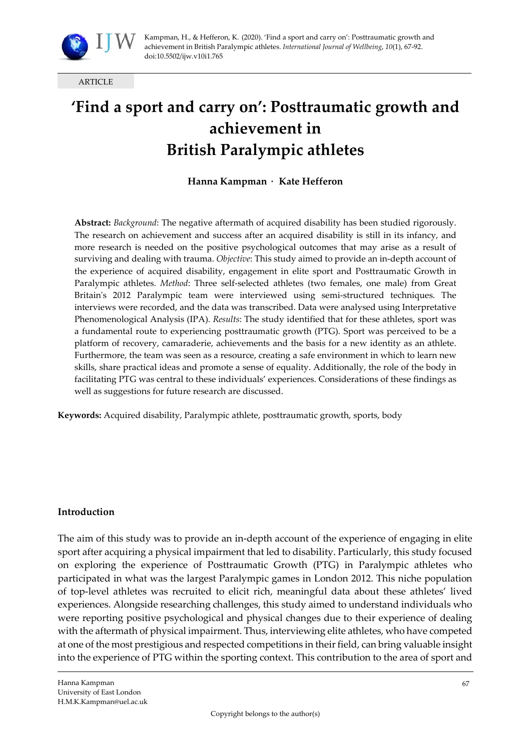

ARTICLE

# **'Find a sport and carry on': Posttraumatic growth and achievement in British Paralympic athletes**

**Hanna Kampman** · **Kate Hefferon** 

**Abstract:** *Background*: The negative aftermath of acquired disability has been studied rigorously. The research on achievement and success after an acquired disability is still in its infancy, and more research is needed on the positive psychological outcomes that may arise as a result of surviving and dealing with trauma. *Objective*: This study aimed to provide an in-depth account of the experience of acquired disability, engagement in elite sport and Posttraumatic Growth in Paralympic athletes. *Method*: Three self-selected athletes (two females, one male) from Great Britain's 2012 Paralympic team were interviewed using semi-structured techniques. The interviews were recorded, and the data was transcribed. Data were analysed using Interpretative Phenomenological Analysis (IPA). *Results*: The study identified that for these athletes, sport was a fundamental route to experiencing posttraumatic growth (PTG). Sport was perceived to be a platform of recovery, camaraderie, achievements and the basis for a new identity as an athlete. Furthermore, the team was seen as a resource, creating a safe environment in which to learn new skills, share practical ideas and promote a sense of equality. Additionally, the role of the body in facilitating PTG was central to these individuals' experiences. Considerations of these findings as well as suggestions for future research are discussed.

**Keywords:** Acquired disability, Paralympic athlete, posttraumatic growth, sports, body

#### **Introduction**

The aim of this study was to provide an in-depth account of the experience of engaging in elite sport after acquiring a physical impairment that led to disability. Particularly, this study focused on exploring the experience of Posttraumatic Growth (PTG) in Paralympic athletes who participated in what was the largest Paralympic games in London 2012. This niche population of top-level athletes was recruited to elicit rich, meaningful data about these athletes' lived experiences. Alongside researching challenges, this study aimed to understand individuals who were reporting positive psychological and physical changes due to their experience of dealing with the aftermath of physical impairment. Thus, interviewing elite athletes, who have competed at one of the most prestigious and respected competitions in their field, can bring valuable insight into the experience of PTG within the sporting context. This contribution to the area of sport and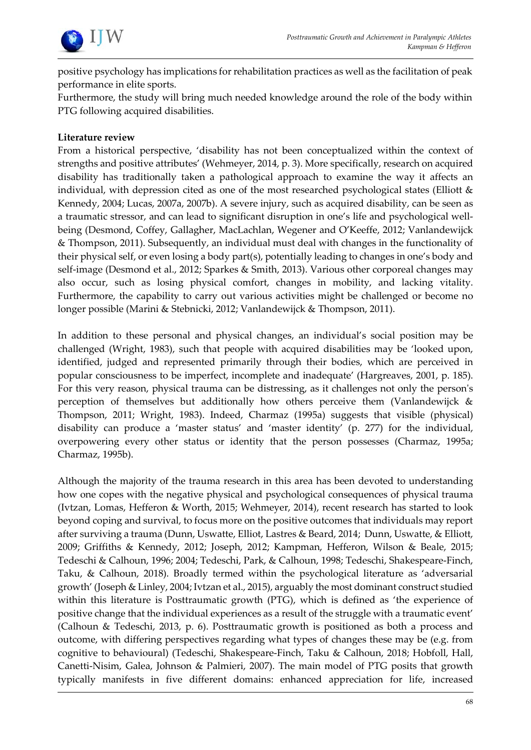

positive psychology has implications for rehabilitation practices as well as the facilitation of peak performance in elite sports.

Furthermore, the study will bring much needed knowledge around the role of the body within PTG following acquired disabilities.

#### **Literature review**

From a historical perspective, 'disability has not been conceptualized within the context of strengths and positive attributes' (Wehmeyer, 2014, p. 3). More specifically, research on acquired disability has traditionally taken a pathological approach to examine the way it affects an individual, with depression cited as one of the most researched psychological states (Elliott & Kennedy, 2004; Lucas, 2007a, 2007b). A severe injury, such as acquired disability, can be seen as a traumatic stressor, and can lead to significant disruption in one's life and psychological wellbeing (Desmond, Coffey, Gallagher, MacLachlan, Wegener and O'Keeffe, 2012; Vanlandewijck & Thompson, 2011). Subsequently, an individual must deal with changes in the functionality of their physical self, or even losing a body part(s), potentially leading to changes in one's body and self-image (Desmond et al., 2012; Sparkes & Smith, 2013). Various other corporeal changes may also occur, such as losing physical comfort, changes in mobility, and lacking vitality. Furthermore, the capability to carry out various activities might be challenged or become no longer possible (Marini & Stebnicki, 2012; Vanlandewijck & Thompson, 2011).

In addition to these personal and physical changes, an individual's social position may be challenged (Wright, 1983), such that people with acquired disabilities may be 'looked upon, identified, judged and represented primarily through their bodies, which are perceived in popular consciousness to be imperfect, incomplete and inadequate' (Hargreaves, 2001, p. 185). For this very reason, physical trauma can be distressing, as it challenges not only the person's perception of themselves but additionally how others perceive them (Vanlandewijck & Thompson, 2011; Wright, 1983). Indeed, Charmaz (1995a) suggests that visible (physical) disability can produce a 'master status' and 'master identity' (p. 277) for the individual, overpowering every other status or identity that the person possesses (Charmaz, 1995a; Charmaz, 1995b).

Although the majority of the trauma research in this area has been devoted to understanding how one copes with the negative physical and psychological consequences of physical trauma (Ivtzan, Lomas, Hefferon & Worth, 2015; Wehmeyer, 2014), recent research has started to look beyond coping and survival, to focus more on the positive outcomes that individuals may report after surviving a trauma (Dunn, Uswatte, Elliot, Lastres & Beard, 2014; Dunn, Uswatte, & Elliott, 2009; Griffiths & Kennedy, 2012; Joseph, 2012; Kampman, Hefferon, Wilson & Beale, 2015; Tedeschi & Calhoun, 1996; 2004; Tedeschi, Park, & Calhoun, 1998; Tedeschi, Shakespeare-Finch, Taku, & Calhoun, 2018). Broadly termed within the psychological literature as 'adversarial growth' (Joseph & Linley, 2004; Ivtzan et al., 2015), arguably the most dominant construct studied within this literature is Posttraumatic growth (PTG), which is defined as 'the experience of positive change that the individual experiences as a result of the struggle with a traumatic event' (Calhoun & Tedeschi, 2013, p. 6). Posttraumatic growth is positioned as both a process and outcome, with differing perspectives regarding what types of changes these may be (e.g. from cognitive to behavioural) (Tedeschi, Shakespeare-Finch, Taku & Calhoun, 2018; Hobfoll, Hall, Canetti-Nisim, Galea, Johnson & Palmieri, 2007). The main model of PTG posits that growth typically manifests in five different domains: enhanced appreciation for life, increased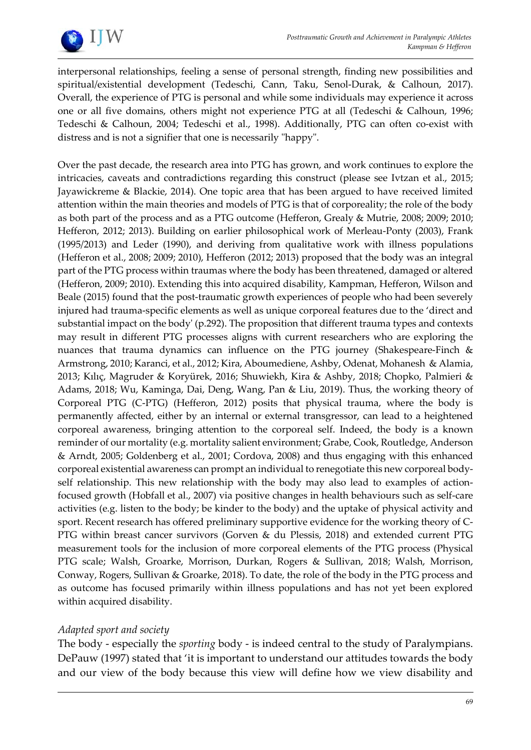

interpersonal relationships, feeling a sense of personal strength, finding new possibilities and spiritual/existential development (Tedeschi, Cann, Taku, Senol-Durak, & Calhoun, 2017). Overall, the experience of PTG is personal and while some individuals may experience it across one or all five domains, others might not experience PTG at all (Tedeschi & Calhoun, 1996; Tedeschi & Calhoun, 2004; Tedeschi et al., 1998). Additionally, PTG can often co-exist with distress and is not a signifier that one is necessarily "happy".

Over the past decade, the research area into PTG has grown, and work continues to explore the intricacies, caveats and contradictions regarding this construct (please see Ivtzan et al., 2015; Jayawickreme & Blackie, 2014). One topic area that has been argued to have received limited attention within the main theories and models of PTG is that of corporeality; the role of the body as both part of the process and as a PTG outcome (Hefferon, Grealy & Mutrie, 2008; 2009; 2010; Hefferon, 2012; 2013). Building on earlier philosophical work of Merleau-Ponty (2003), Frank (1995/2013) and Leder (1990), and deriving from qualitative work with illness populations (Hefferon et al., 2008; 2009; 2010), Hefferon (2012; 2013) proposed that the body was an integral part of the PTG process within traumas where the body has been threatened, damaged or altered (Hefferon, 2009; 2010). Extending this into acquired disability, Kampman, Hefferon, Wilson and Beale (2015) found that the post-traumatic growth experiences of people who had been severely injured had trauma-specific elements as well as unique corporeal features due to the 'direct and substantial impact on the body' (p.292). The proposition that different trauma types and contexts may result in different PTG processes aligns with current researchers who are exploring the nuances that trauma dynamics can influence on the PTG journey (Shakespeare-Finch & Armstrong, 2010; Karanci, et al., 2012; Kira, Aboumediene, Ashby, Odenat, Mohanesh & Alamia, 2013; Kılıç, Magruder & Koryürek, 2016; Shuwiekh, Kira & Ashby, 2018; Chopko, Palmieri & Adams, 2018; Wu, Kaminga, Dai, Deng, Wang, Pan & Liu, 2019). Thus, the working theory of Corporeal PTG (C-PTG) (Hefferon, 2012) posits that physical trauma, where the body is permanently affected, either by an internal or external transgressor, can lead to a heightened corporeal awareness, bringing attention to the corporeal self. Indeed, the body is a known reminder of our mortality (e.g. mortality salient environment; Grabe, Cook, Routledge, Anderson & Arndt, 2005; Goldenberg et al., 2001; Cordova, 2008) and thus engaging with this enhanced corporeal existential awareness can prompt an individual to renegotiate this new corporeal bodyself relationship. This new relationship with the body may also lead to examples of actionfocused growth (Hobfall et al., 2007) via positive changes in health behaviours such as self-care activities (e.g. listen to the body; be kinder to the body) and the uptake of physical activity and sport. Recent research has offered preliminary supportive evidence for the working theory of C-PTG within breast cancer survivors (Gorven & du Plessis, 2018) and extended current PTG measurement tools for the inclusion of more corporeal elements of the PTG process (Physical PTG scale; Walsh, Groarke, Morrison, Durkan, Rogers & Sullivan, 2018; Walsh, Morrison, Conway, Rogers, Sullivan & Groarke, 2018). To date, the role of the body in the PTG process and as outcome has focused primarily within illness populations and has not yet been explored within acquired disability.

# *Adapted sport and society*

The body - especially the *sporting* body - is indeed central to the study of Paralympians. DePauw (1997) stated that 'it is important to understand our attitudes towards the body and our view of the body because this view will define how we view disability and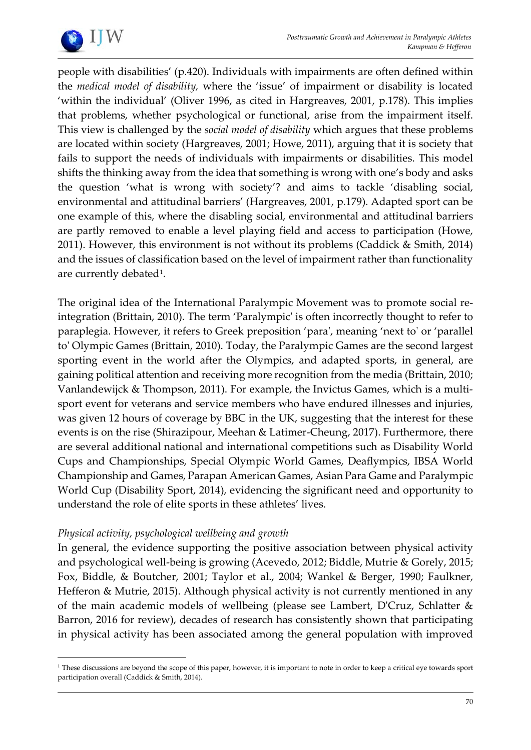

people with disabilities' (p.420). Individuals with impairments are often defined within the *medical model of disability,* where the 'issue' of impairment or disability is located 'within the individual' (Oliver 1996, as cited in Hargreaves, 2001, p.178). This implies that problems, whether psychological or functional, arise from the impairment itself. This view is challenged by the *social model of disability* which argues that these problems are located within society (Hargreaves, 2001; Howe, 2011), arguing that it is society that fails to support the needs of individuals with impairments or disabilities. This model shifts the thinking away from the idea that something is wrong with one's body and asks the question 'what is wrong with society'? and aims to tackle 'disabling social, environmental and attitudinal barriers' (Hargreaves, 2001, p.179). Adapted sport can be one example of this, where the disabling social, environmental and attitudinal barriers are partly removed to enable a level playing field and access to participation (Howe, 2011). However, this environment is not without its problems (Caddick & Smith, 2014) and the issues of classification based on the level of impairment rather than functionality are currently debated<sup>[1](#page-3-0)</sup>.

The original idea of the International Paralympic Movement was to promote social reintegration (Brittain, 2010). The term 'Paralympic' is often incorrectly thought to refer to paraplegia. However, it refers to Greek preposition 'para', meaning 'next to' or 'parallel to' Olympic Games (Brittain, 2010). Today, the Paralympic Games are the second largest sporting event in the world after the Olympics, and adapted sports, in general, are gaining political attention and receiving more recognition from the media (Brittain, 2010; Vanlandewijck & Thompson, 2011). For example, the Invictus Games, which is a multisport event for veterans and service members who have endured illnesses and injuries, was given 12 hours of coverage by BBC in the UK, suggesting that the interest for these events is on the rise (Shirazipour, Meehan & Latimer-Cheung, 2017). Furthermore, there are several additional national and international competitions such as Disability World Cups and Championships, Special Olympic World Games, Deaflympics, IBSA World Championship and Games, Parapan American Games, Asian Para Game and Paralympic World Cup (Disability Sport, 2014), evidencing the significant need and opportunity to understand the role of elite sports in these athletes' lives.

# *Physical activity, psychological wellbeing and growth*

In general, the evidence supporting the positive association between physical activity and psychological well-being is growing (Acevedo, 2012; Biddle, Mutrie & Gorely, 2015; Fox, Biddle, & Boutcher, 2001; Taylor et al., 2004; Wankel & Berger, 1990; Faulkner, Hefferon & Mutrie, 2015). Although physical activity is not currently mentioned in any of the main academic models of wellbeing (please see Lambert, D'Cruz, Schlatter & Barron, 2016 for review), decades of research has consistently shown that participating in physical activity has been associated among the general population with improved

<span id="page-3-0"></span><sup>&</sup>lt;sup>1</sup> These discussions are beyond the scope of this paper, however, it is important to note in order to keep a critical eye towards sport participation overall (Caddick & Smith, 2014).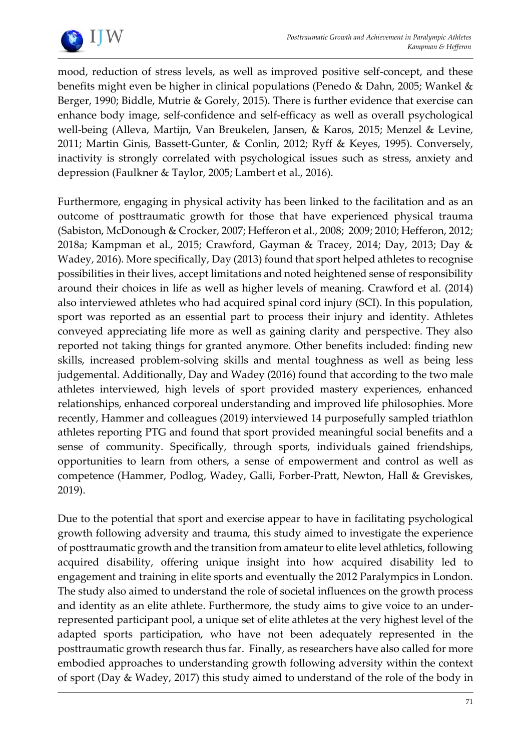

mood, reduction of stress levels, as well as improved positive self-concept, and these benefits might even be higher in clinical populations (Penedo & Dahn, 2005; Wankel & Berger, 1990; Biddle, Mutrie & Gorely, 2015). There is further evidence that exercise can enhance body image, self-confidence and self-efficacy as well as overall psychological well-being (Alleva, Martijn, Van Breukelen, Jansen, & Karos, 2015; Menzel & Levine, 2011; Martin Ginis, Bassett-Gunter, & Conlin, 2012; Ryff & Keyes, 1995). Conversely, inactivity is strongly correlated with psychological issues such as stress, anxiety and depression (Faulkner & Taylor, 2005; Lambert et al., 2016).

Furthermore, engaging in physical activity has been linked to the facilitation and as an outcome of posttraumatic growth for those that have experienced physical trauma (Sabiston, McDonough & Crocker, 2007; Hefferon et al., 2008; 2009; 2010; Hefferon, 2012; 2018a; Kampman et al., 2015; Crawford, Gayman & Tracey, 2014; Day, 2013; Day & Wadey, 2016). More specifically, Day (2013) found that sport helped athletes to recognise possibilities in their lives, accept limitations and noted heightened sense of responsibility around their choices in life as well as higher levels of meaning. Crawford et al. (2014) also interviewed athletes who had acquired spinal cord injury (SCI). In this population, sport was reported as an essential part to process their injury and identity. Athletes conveyed appreciating life more as well as gaining clarity and perspective. They also reported not taking things for granted anymore. Other benefits included: finding new skills, increased problem-solving skills and mental toughness as well as being less judgemental. Additionally, Day and Wadey (2016) found that according to the two male athletes interviewed, high levels of sport provided mastery experiences, enhanced relationships, enhanced corporeal understanding and improved life philosophies. More recently, Hammer and colleagues (2019) interviewed 14 purposefully sampled triathlon athletes reporting PTG and found that sport provided meaningful social benefits and a sense of community. Specifically, through sports, individuals gained friendships, opportunities to learn from others, a sense of empowerment and control as well as competence (Hammer, Podlog, Wadey, Galli, Forber-Pratt, Newton, Hall & Greviskes, 2019).

Due to the potential that sport and exercise appear to have in facilitating psychological growth following adversity and trauma, this study aimed to investigate the experience of posttraumatic growth and the transition from amateur to elite level athletics, following acquired disability, offering unique insight into how acquired disability led to engagement and training in elite sports and eventually the 2012 Paralympics in London. The study also aimed to understand the role of societal influences on the growth process and identity as an elite athlete. Furthermore, the study aims to give voice to an underrepresented participant pool, a unique set of elite athletes at the very highest level of the adapted sports participation, who have not been adequately represented in the posttraumatic growth research thus far. Finally, as researchers have also called for more embodied approaches to understanding growth following adversity within the context of sport (Day & Wadey, 2017) this study aimed to understand of the role of the body in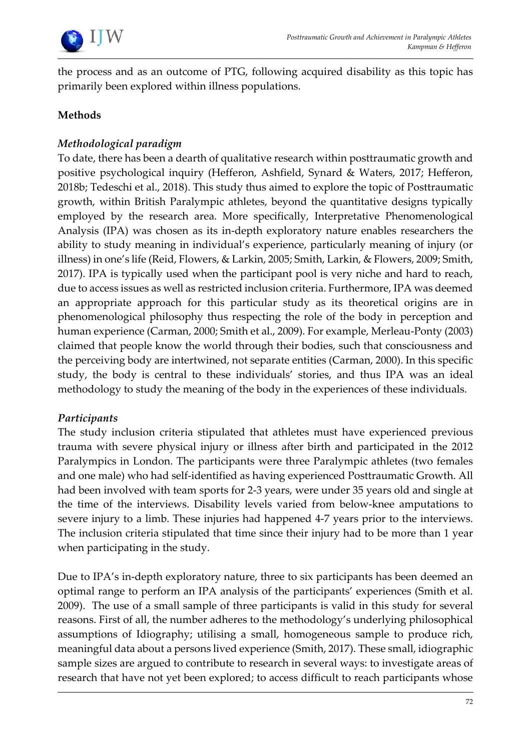

the process and as an outcome of PTG, following acquired disability as this topic has primarily been explored within illness populations.

# **Methods**

# *Methodological paradigm*

To date, there has been a dearth of qualitative research within posttraumatic growth and positive psychological inquiry (Hefferon, Ashfield, Synard & Waters, 2017; Hefferon, 2018b; Tedeschi et al., 2018). This study thus aimed to explore the topic of Posttraumatic growth, within British Paralympic athletes, beyond the quantitative designs typically employed by the research area. More specifically, Interpretative Phenomenological Analysis (IPA) was chosen as its in-depth exploratory nature enables researchers the ability to study meaning in individual's experience, particularly meaning of injury (or illness) in one's life (Reid, Flowers, & Larkin, 2005; Smith, Larkin, & Flowers, 2009; Smith, 2017). IPA is typically used when the participant pool is very niche and hard to reach, due to access issues as well as restricted inclusion criteria. Furthermore, IPA was deemed an appropriate approach for this particular study as its theoretical origins are in phenomenological philosophy thus respecting the role of the body in perception and human experience (Carman, 2000; Smith et al., 2009). For example, Merleau-Ponty (2003) claimed that people know the world through their bodies, such that consciousness and the perceiving body are intertwined, not separate entities (Carman, 2000). In this specific study, the body is central to these individuals' stories, and thus IPA was an ideal methodology to study the meaning of the body in the experiences of these individuals.

# *Participants*

The study inclusion criteria stipulated that athletes must have experienced previous trauma with severe physical injury or illness after birth and participated in the 2012 Paralympics in London. The participants were three Paralympic athletes (two females and one male) who had self-identified as having experienced Posttraumatic Growth. All had been involved with team sports for 2-3 years, were under 35 years old and single at the time of the interviews. Disability levels varied from below-knee amputations to severe injury to a limb. These injuries had happened 4-7 years prior to the interviews. The inclusion criteria stipulated that time since their injury had to be more than 1 year when participating in the study.

Due to IPA's in-depth exploratory nature, three to six participants has been deemed an optimal range to perform an IPA analysis of the participants' experiences (Smith et al. 2009). The use of a small sample of three participants is valid in this study for several reasons. First of all, the number adheres to the methodology's underlying philosophical assumptions of Idiography; utilising a small, homogeneous sample to produce rich, meaningful data about a persons lived experience (Smith, 2017). These small, idiographic sample sizes are argued to contribute to research in several ways: to investigate areas of research that have not yet been explored; to access difficult to reach participants whose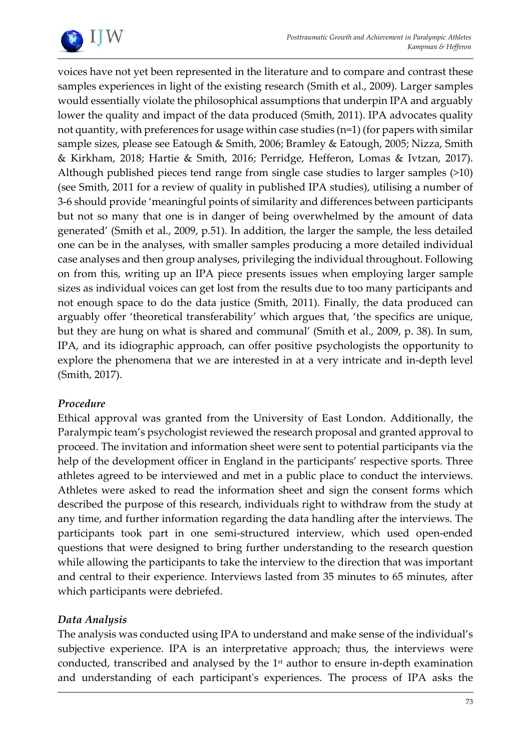

voices have not yet been represented in the literature and to compare and contrast these samples experiences in light of the existing research (Smith et al., 2009). Larger samples would essentially violate the philosophical assumptions that underpin IPA and arguably lower the quality and impact of the data produced (Smith, 2011). IPA advocates quality not quantity, with preferences for usage within case studies (n=1) (for papers with similar sample sizes, please see Eatough & Smith, 2006; Bramley & Eatough, 2005; Nizza, Smith & Kirkham, 2018; Hartie & Smith, 2016; Perridge, Hefferon, Lomas & Ivtzan, 2017). Although published pieces tend range from single case studies to larger samples (>10) (see Smith, 2011 for a review of quality in published IPA studies), utilising a number of 3-6 should provide 'meaningful points of similarity and differences between participants but not so many that one is in danger of being overwhelmed by the amount of data generated' (Smith et al., 2009, p.51). In addition, the larger the sample, the less detailed one can be in the analyses, with smaller samples producing a more detailed individual case analyses and then group analyses, privileging the individual throughout. Following on from this, writing up an IPA piece presents issues when employing larger sample sizes as individual voices can get lost from the results due to too many participants and not enough space to do the data justice (Smith, 2011). Finally, the data produced can arguably offer 'theoretical transferability' which argues that, 'the specifics are unique, but they are hung on what is shared and communal' (Smith et al., 2009, p. 38). In sum, IPA, and its idiographic approach, can offer positive psychologists the opportunity to explore the phenomena that we are interested in at a very intricate and in-depth level (Smith, 2017).

# *Procedure*

Ethical approval was granted from the University of East London. Additionally, the Paralympic team's psychologist reviewed the research proposal and granted approval to proceed. The invitation and information sheet were sent to potential participants via the help of the development officer in England in the participants' respective sports. Three athletes agreed to be interviewed and met in a public place to conduct the interviews. Athletes were asked to read the information sheet and sign the consent forms which described the purpose of this research, individuals right to withdraw from the study at any time, and further information regarding the data handling after the interviews. The participants took part in one semi-structured interview, which used open-ended questions that were designed to bring further understanding to the research question while allowing the participants to take the interview to the direction that was important and central to their experience. Interviews lasted from 35 minutes to 65 minutes, after which participants were debriefed.

# *Data Analysis*

The analysis was conducted using IPA to understand and make sense of the individual's subjective experience. IPA is an interpretative approach; thus, the interviews were conducted, transcribed and analysed by the 1<sup>st</sup> author to ensure in-depth examination and understanding of each participant's experiences. The process of IPA asks the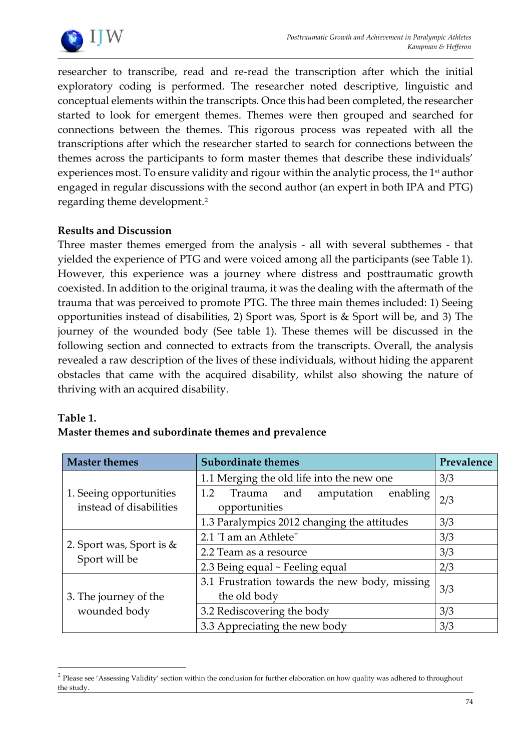

researcher to transcribe, read and re-read the transcription after which the initial exploratory coding is performed. The researcher noted descriptive, linguistic and conceptual elements within the transcripts. Once this had been completed, the researcher started to look for emergent themes. Themes were then grouped and searched for connections between the themes. This rigorous process was repeated with all the transcriptions after which the researcher started to search for connections between the themes across the participants to form master themes that describe these individuals' experiences most. To ensure validity and rigour within the analytic process, the 1<sup>st</sup> author engaged in regular discussions with the second author (an expert in both IPA and PTG) regarding theme development.[2](#page-7-0)

# **Results and Discussion**

Three master themes emerged from the analysis - all with several subthemes - that yielded the experience of PTG and were voiced among all the participants (see Table 1). However, this experience was a journey where distress and posttraumatic growth coexisted. In addition to the original trauma, it was the dealing with the aftermath of the trauma that was perceived to promote PTG. The three main themes included: 1) Seeing opportunities instead of disabilities, 2) Sport was, Sport is & Sport will be, and 3) The journey of the wounded body (See table 1). These themes will be discussed in the following section and connected to extracts from the transcripts. Overall, the analysis revealed a raw description of the lives of these individuals, without hiding the apparent obstacles that came with the acquired disability, whilst also showing the nature of thriving with an acquired disability.

#### **Table 1.**

| <b>Master themes</b>                               | <b>Subordinate themes</b>                                       | Prevalence |
|----------------------------------------------------|-----------------------------------------------------------------|------------|
| 1. Seeing opportunities<br>instead of disabilities | 1.1 Merging the old life into the new one                       | 3/3        |
|                                                    | 1.2<br>enabling<br>and<br>amputation<br>Trauma<br>opportunities | 2/3        |
|                                                    |                                                                 |            |
|                                                    | 1.3 Paralympics 2012 changing the attitudes                     | 3/3        |
| 2. Sport was, Sport is &<br>Sport will be          | 2.1 "I am an Athlete"                                           | 3/3        |
|                                                    | 2.2 Team as a resource                                          | 3/3        |
|                                                    | 2.3 Being equal ~ Feeling equal                                 | 2/3        |
| 3. The journey of the<br>wounded body              | 3.1 Frustration towards the new body, missing<br>the old body   | 3/3        |
|                                                    | 3.2 Rediscovering the body                                      | 3/3        |
|                                                    | 3.3 Appreciating the new body                                   | 3/3        |

<span id="page-7-0"></span><sup>&</sup>lt;sup>2</sup> Please see 'Assessing Validity' section within the conclusion for further elaboration on how quality was adhered to throughout the study.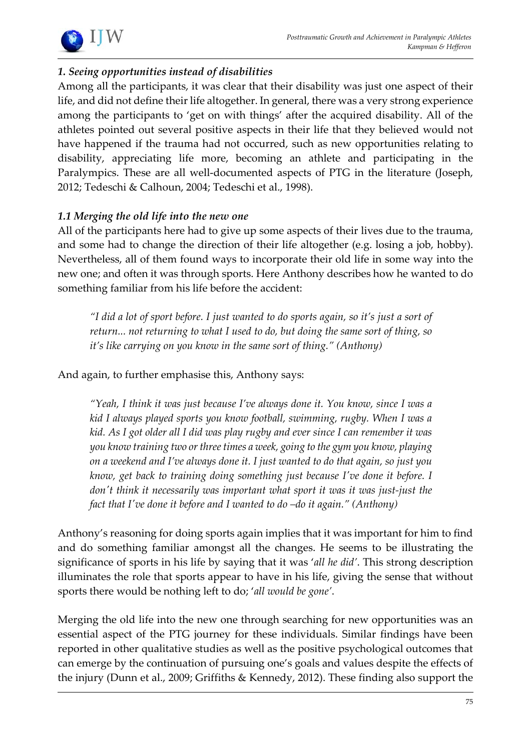

# *1. Seeing opportunities instead of disabilities*

Among all the participants, it was clear that their disability was just one aspect of their life, and did not define their life altogether. In general, there was a very strong experience among the participants to 'get on with things' after the acquired disability. All of the athletes pointed out several positive aspects in their life that they believed would not have happened if the trauma had not occurred, such as new opportunities relating to disability, appreciating life more, becoming an athlete and participating in the Paralympics. These are all well-documented aspects of PTG in the literature (Joseph, 2012; Tedeschi & Calhoun, 2004; Tedeschi et al., 1998).

# *1.1 Merging the old life into the new one*

All of the participants here had to give up some aspects of their lives due to the trauma, and some had to change the direction of their life altogether (e.g. losing a job, hobby). Nevertheless, all of them found ways to incorporate their old life in some way into the new one; and often it was through sports. Here Anthony describes how he wanted to do something familiar from his life before the accident:

*"I did a lot of sport before. I just wanted to do sports again, so it's just a sort of return... not returning to what I used to do, but doing the same sort of thing, so it's like carrying on you know in the same sort of thing." (Anthony)*

And again, to further emphasise this, Anthony says:

*"Yeah, I think it was just because I've always done it. You know, since I was a kid I always played sports you know football, swimming, rugby. When I was a kid. As I got older all I did was play rugby and ever since I can remember it was you know training two or three times a week, going to the gym you know, playing on a weekend and I've always done it. I just wanted to do that again, so just you know, get back to training doing something just because I've done it before. I don't think it necessarily was important what sport it was it was just-just the fact that I've done it before and I wanted to do –do it again." (Anthony)* 

Anthony's reasoning for doing sports again implies that it was important for him to find and do something familiar amongst all the changes. He seems to be illustrating the significance of sports in his life by saying that it was '*all he did'*. This strong description illuminates the role that sports appear to have in his life, giving the sense that without sports there would be nothing left to do; '*all would be gone'*.

Merging the old life into the new one through searching for new opportunities was an essential aspect of the PTG journey for these individuals. Similar findings have been reported in other qualitative studies as well as the positive psychological outcomes that can emerge by the continuation of pursuing one's goals and values despite the effects of the injury (Dunn et al., 2009; Griffiths & Kennedy, 2012). These finding also support the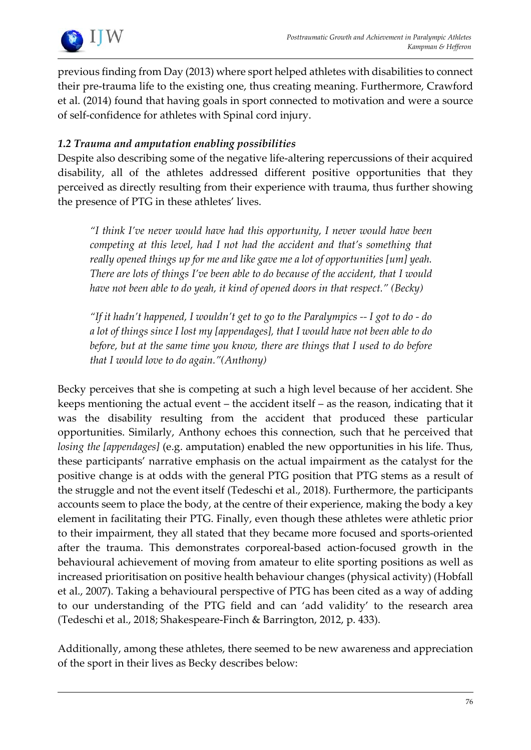

previous finding from Day (2013) where sport helped athletes with disabilities to connect their pre-trauma life to the existing one, thus creating meaning. Furthermore, Crawford et al. (2014) found that having goals in sport connected to motivation and were a source of self-confidence for athletes with Spinal cord injury.

# *1.2 Trauma and amputation enabling possibilities*

Despite also describing some of the negative life-altering repercussions of their acquired disability, all of the athletes addressed different positive opportunities that they perceived as directly resulting from their experience with trauma, thus further showing the presence of PTG in these athletes' lives.

*"I think I've never would have had this opportunity, I never would have been competing at this level, had I not had the accident and that's something that really opened things up for me and like gave me a lot of opportunities [um] yeah. There are lots of things I've been able to do because of the accident, that I would have not been able to do yeah, it kind of opened doors in that respect." (Becky)*

*"If it hadn't happened, I wouldn't get to go to the Paralympics -- I got to do - do a lot of things since I lost my [appendages], that I would have not been able to do before, but at the same time you know, there are things that I used to do before that I would love to do again."(Anthony)*

Becky perceives that she is competing at such a high level because of her accident. She keeps mentioning the actual event – the accident itself – as the reason, indicating that it was the disability resulting from the accident that produced these particular opportunities. Similarly, Anthony echoes this connection, such that he perceived that *losing the [appendages]* (e.g. amputation) enabled the new opportunities in his life. Thus, these participants' narrative emphasis on the actual impairment as the catalyst for the positive change is at odds with the general PTG position that PTG stems as a result of the struggle and not the event itself (Tedeschi et al., 2018). Furthermore, the participants accounts seem to place the body, at the centre of their experience, making the body a key element in facilitating their PTG. Finally, even though these athletes were athletic prior to their impairment, they all stated that they became more focused and sports-oriented after the trauma. This demonstrates corporeal-based action-focused growth in the behavioural achievement of moving from amateur to elite sporting positions as well as increased prioritisation on positive health behaviour changes (physical activity) (Hobfall et al., 2007). Taking a behavioural perspective of PTG has been cited as a way of adding to our understanding of the PTG field and can 'add validity' to the research area (Tedeschi et al., 2018; Shakespeare-Finch & Barrington, 2012, p. 433).

Additionally, among these athletes, there seemed to be new awareness and appreciation of the sport in their lives as Becky describes below: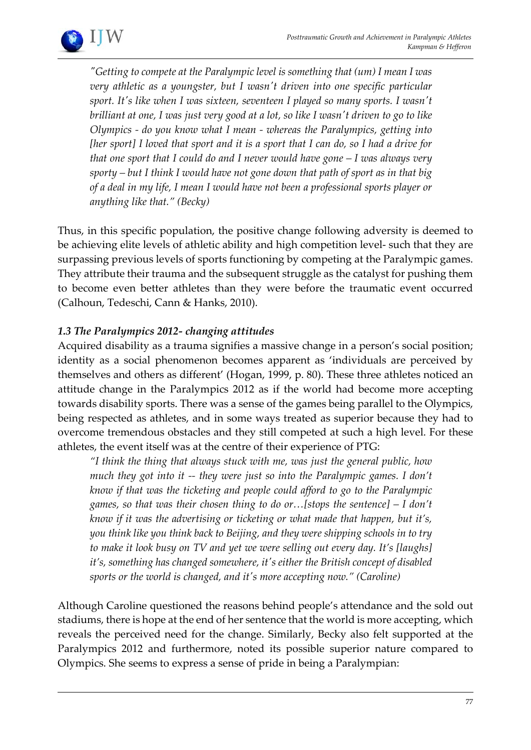

*"Getting to compete at the Paralympic level is something that (um) I mean I was very athletic as a youngster, but I wasn't driven into one specific particular sport. It's like when I was sixteen, seventeen I played so many sports. I wasn't brilliant at one, I was just very good at a lot, so like I wasn't driven to go to like Olympics - do you know what I mean - whereas the Paralympics, getting into [her sport] I loved that sport and it is a sport that I can do, so I had a drive for that one sport that I could do and I never would have gone – I was always very sporty – but I think I would have not gone down that path of sport as in that big of a deal in my life, I mean I would have not been a professional sports player or anything like that." (Becky)* 

Thus, in this specific population, the positive change following adversity is deemed to be achieving elite levels of athletic ability and high competition level- such that they are surpassing previous levels of sports functioning by competing at the Paralympic games. They attribute their trauma and the subsequent struggle as the catalyst for pushing them to become even better athletes than they were before the traumatic event occurred (Calhoun, Tedeschi, Cann & Hanks, 2010).

# *1.3 The Paralympics 2012- changing attitudes*

Acquired disability as a trauma signifies a massive change in a person's social position; identity as a social phenomenon becomes apparent as 'individuals are perceived by themselves and others as different' (Hogan, 1999, p. 80). These three athletes noticed an attitude change in the Paralympics 2012 as if the world had become more accepting towards disability sports. There was a sense of the games being parallel to the Olympics, being respected as athletes, and in some ways treated as superior because they had to overcome tremendous obstacles and they still competed at such a high level. For these athletes, the event itself was at the centre of their experience of PTG:

*"I think the thing that always stuck with me, was just the general public, how much they got into it -- they were just so into the Paralympic games. I don't know if that was the ticketing and people could afford to go to the Paralympic games, so that was their chosen thing to do or…[stops the sentence] – I don't know if it was the advertising or ticketing or what made that happen, but it's, you think like you think back to Beijing, and they were shipping schools in to try to make it look busy on TV and yet we were selling out every day. It's [laughs] it's, something has changed somewhere, it's either the British concept of disabled sports or the world is changed, and it's more accepting now." (Caroline)*

Although Caroline questioned the reasons behind people's attendance and the sold out stadiums, there is hope at the end of her sentence that the world is more accepting, which reveals the perceived need for the change. Similarly, Becky also felt supported at the Paralympics 2012 and furthermore, noted its possible superior nature compared to Olympics. She seems to express a sense of pride in being a Paralympian: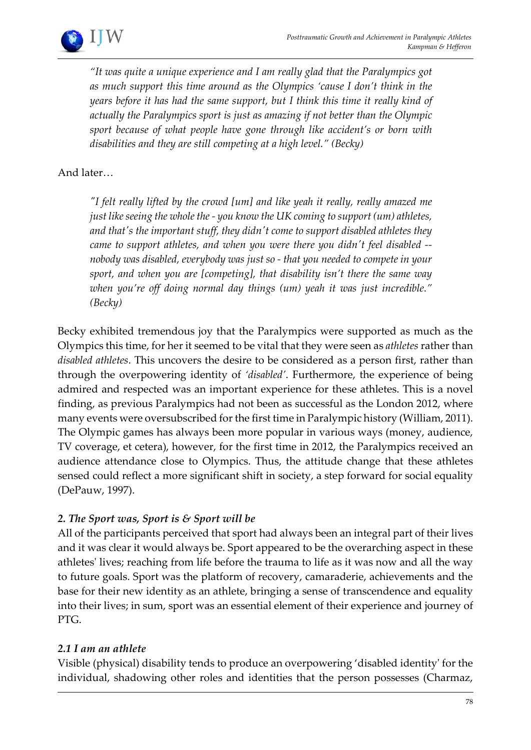*"It was quite a unique experience and I am really glad that the Paralympics got as much support this time around as the Olympics 'cause I don't think in the years before it has had the same support, but I think this time it really kind of actually the Paralympics sport is just as amazing if not better than the Olympic sport because of what people have gone through like accident's or born with disabilities and they are still competing at a high level." (Becky)* 

# And later…

*"I felt really lifted by the crowd [um] and like yeah it really, really amazed me just like seeing the whole the - you know the UK coming to support (um) athletes, and that's the important stuff, they didn't come to support disabled athletes they came to support athletes, and when you were there you didn't feel disabled - nobody was disabled, everybody was just so - that you needed to compete in your sport, and when you are [competing], that disability isn't there the same way when you're off doing normal day things (um) yeah it was just incredible." (Becky)*

Becky exhibited tremendous joy that the Paralympics were supported as much as the Olympics this time, for her it seemed to be vital that they were seen as *athletes* rather than *disabled athletes*. This uncovers the desire to be considered as a person first, rather than through the overpowering identity of *'disabled'*. Furthermore, the experience of being admired and respected was an important experience for these athletes. This is a novel finding, as previous Paralympics had not been as successful as the London 2012, where many events were oversubscribed for the first time in Paralympic history (William, 2011). The Olympic games has always been more popular in various ways (money, audience, TV coverage, et cetera), however, for the first time in 2012, the Paralympics received an audience attendance close to Olympics. Thus, the attitude change that these athletes sensed could reflect a more significant shift in society, a step forward for social equality (DePauw, 1997).

# *2. The Sport was, Sport is & Sport will be*

All of the participants perceived that sport had always been an integral part of their lives and it was clear it would always be. Sport appeared to be the overarching aspect in these athletes' lives; reaching from life before the trauma to life as it was now and all the way to future goals. Sport was the platform of recovery, camaraderie, achievements and the base for their new identity as an athlete, bringing a sense of transcendence and equality into their lives; in sum, sport was an essential element of their experience and journey of PTG.

# *2.1 I am an athlete*

Visible (physical) disability tends to produce an overpowering 'disabled identity' for the individual, shadowing other roles and identities that the person possesses (Charmaz,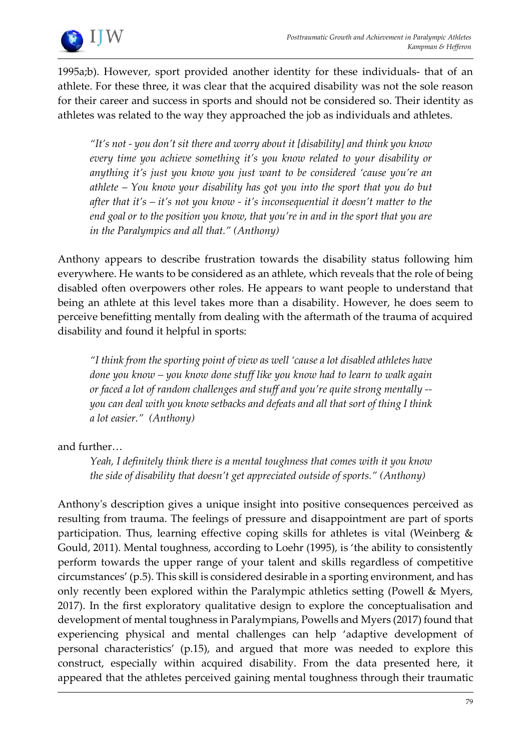

1995a;b). However, sport provided another identity for these individuals- that of an athlete. For these three, it was clear that the acquired disability was not the sole reason for their career and success in sports and should not be considered so. Their identity as athletes was related to the way they approached the job as individuals and athletes.

*"It's not - you don't sit there and worry about it [disability] and think you know every time you achieve something it's you know related to your disability or anything it's just you know you just want to be considered 'cause you're an athlete – You know your disability has got you into the sport that you do but after that it's – it's not you know - it's inconsequential it doesn't matter to the end goal or to the position you know, that you're in and in the sport that you are in the Paralympics and all that." (Anthony)* 

Anthony appears to describe frustration towards the disability status following him everywhere. He wants to be considered as an athlete, which reveals that the role of being disabled often overpowers other roles. He appears to want people to understand that being an athlete at this level takes more than a disability. However, he does seem to perceive benefitting mentally from dealing with the aftermath of the trauma of acquired disability and found it helpful in sports:

*"I think from the sporting point of view as well 'cause a lot disabled athletes have done you know – you know done stuff like you know had to learn to walk again or faced a lot of random challenges and stuff and you're quite strong mentally - you can deal with you know setbacks and defeats and all that sort of thing I think a lot easier." (Anthony)*

and further…

*Yeah, I definitely think there is a mental toughness that comes with it you know the side of disability that doesn't get appreciated outside of sports." (Anthony)* 

Anthony's description gives a unique insight into positive consequences perceived as resulting from trauma. The feelings of pressure and disappointment are part of sports participation. Thus, learning effective coping skills for athletes is vital (Weinberg  $\&$ Gould, 2011). Mental toughness, according to Loehr (1995), is 'the ability to consistently perform towards the upper range of your talent and skills regardless of competitive circumstances' (p.5). This skill is considered desirable in a sporting environment, and has only recently been explored within the Paralympic athletics setting (Powell & Myers, 2017). In the first exploratory qualitative design to explore the conceptualisation and development of mental toughness in Paralympians, Powells and Myers (2017) found that experiencing physical and mental challenges can help 'adaptive development of personal characteristics' (p.15), and argued that more was needed to explore this construct, especially within acquired disability. From the data presented here, it appeared that the athletes perceived gaining mental toughness through their traumatic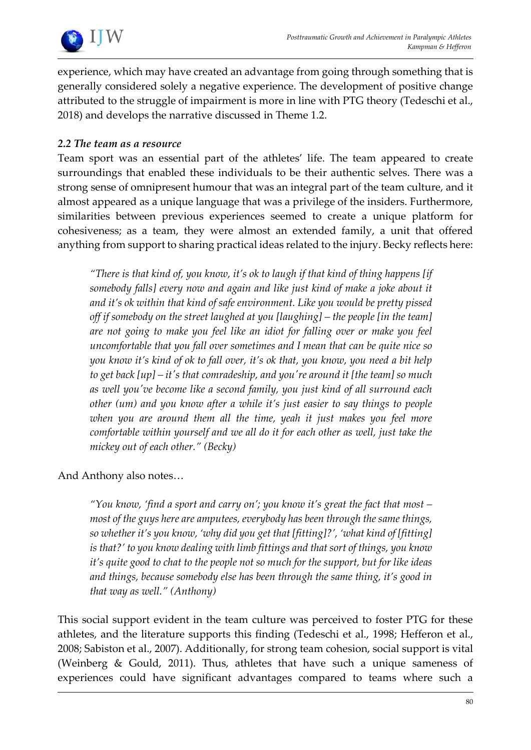

experience, which may have created an advantage from going through something that is generally considered solely a negative experience. The development of positive change attributed to the struggle of impairment is more in line with PTG theory (Tedeschi et al., 2018) and develops the narrative discussed in Theme 1.2.

# *2.2 The team as a resource*

Team sport was an essential part of the athletes' life. The team appeared to create surroundings that enabled these individuals to be their authentic selves. There was a strong sense of omnipresent humour that was an integral part of the team culture, and it almost appeared as a unique language that was a privilege of the insiders. Furthermore, similarities between previous experiences seemed to create a unique platform for cohesiveness; as a team, they were almost an extended family, a unit that offered anything from support to sharing practical ideas related to the injury. Becky reflects here:

*"There is that kind of, you know, it's ok to laugh if that kind of thing happens [if somebody falls] every now and again and like just kind of make a joke about it and it's ok within that kind of safe environment. Like you would be pretty pissed off if somebody on the street laughed at you [laughing] – the people [in the team] are not going to make you feel like an idiot for falling over or make you feel uncomfortable that you fall over sometimes and I mean that can be quite nice so you know it's kind of ok to fall over, it's ok that, you know, you need a bit help to get back [up] – it's that comradeship, and you're around it [the team] so much as well you've become like a second family, you just kind of all surround each other (um) and you know after a while it's just easier to say things to people when you are around them all the time, yeah it just makes you feel more comfortable within yourself and we all do it for each other as well, just take the mickey out of each other." (Becky)*

# And Anthony also notes…

*"You know, 'find a sport and carry on'; you know it's great the fact that most – most of the guys here are amputees, everybody has been through the same things, so whether it's you know, 'why did you get that [fitting]?', 'what kind of [fitting] is that?' to you know dealing with limb fittings and that sort of things, you know it's quite good to chat to the people not so much for the support, but for like ideas and things, because somebody else has been through the same thing, it's good in that way as well." (Anthony)* 

This social support evident in the team culture was perceived to foster PTG for these athletes, and the literature supports this finding (Tedeschi et al., 1998; Hefferon et al., 2008; Sabiston et al., 2007). Additionally, for strong team cohesion, social support is vital (Weinberg & Gould, 2011). Thus, athletes that have such a unique sameness of experiences could have significant advantages compared to teams where such a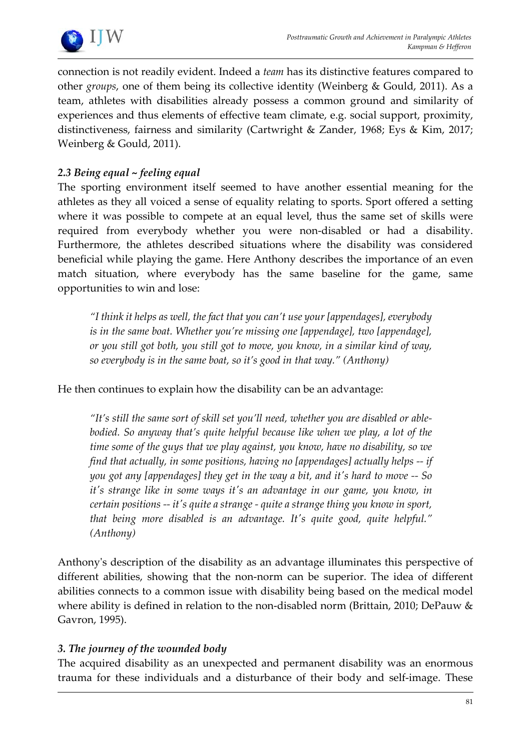

connection is not readily evident. Indeed a *team* has its distinctive features compared to other *groups*, one of them being its collective identity (Weinberg & Gould, 2011). As a team, athletes with disabilities already possess a common ground and similarity of experiences and thus elements of effective team climate, e.g. social support, proximity, distinctiveness, fairness and similarity (Cartwright & Zander, 1968; Eys & Kim, 2017; Weinberg & Gould, 2011).

# *2.3 Being equal ~ feeling equal*

The sporting environment itself seemed to have another essential meaning for the athletes as they all voiced a sense of equality relating to sports. Sport offered a setting where it was possible to compete at an equal level, thus the same set of skills were required from everybody whether you were non-disabled or had a disability. Furthermore, the athletes described situations where the disability was considered beneficial while playing the game. Here Anthony describes the importance of an even match situation, where everybody has the same baseline for the game, same opportunities to win and lose:

*"I think it helps as well, the fact that you can't use your [appendages], everybody is in the same boat. Whether you're missing one [appendage], two [appendage], or you still got both, you still got to move, you know, in a similar kind of way, so everybody is in the same boat, so it's good in that way." (Anthony)* 

He then continues to explain how the disability can be an advantage:

*"It's still the same sort of skill set you'll need, whether you are disabled or ablebodied. So anyway that's quite helpful because like when we play, a lot of the time some of the guys that we play against, you know, have no disability, so we find that actually, in some positions, having no [appendages] actually helps -- if you got any [appendages] they get in the way a bit, and it's hard to move -- So it's strange like in some ways it's an advantage in our game, you know, in certain positions -- it's quite a strange - quite a strange thing you know in sport, that being more disabled is an advantage. It's quite good, quite helpful." (Anthony)*

Anthony's description of the disability as an advantage illuminates this perspective of different abilities, showing that the non-norm can be superior. The idea of different abilities connects to a common issue with disability being based on the medical model where ability is defined in relation to the non-disabled norm (Brittain, 2010; DePauw & Gavron, 1995).

# *3. The journey of the wounded body*

The acquired disability as an unexpected and permanent disability was an enormous trauma for these individuals and a disturbance of their body and self-image. These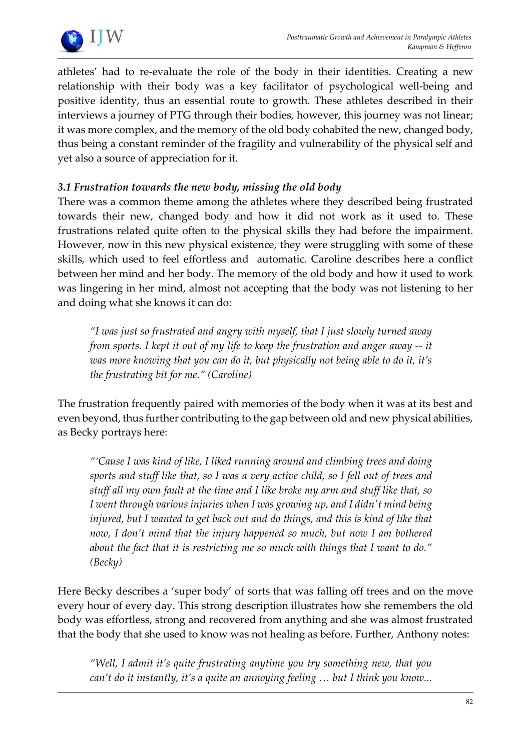

athletes' had to re-evaluate the role of the body in their identities. Creating a new relationship with their body was a key facilitator of psychological well-being and positive identity, thus an essential route to growth. These athletes described in their interviews a journey of PTG through their bodies, however, this journey was not linear; it was more complex, and the memory of the old body cohabited the new, changed body, thus being a constant reminder of the fragility and vulnerability of the physical self and yet also a source of appreciation for it.

# *3.1 Frustration towards the new body, missing the old body*

There was a common theme among the athletes where they described being frustrated towards their new, changed body and how it did not work as it used to. These frustrations related quite often to the physical skills they had before the impairment. However, now in this new physical existence, they were struggling with some of these skills, which used to feel effortless and automatic. Caroline describes here a conflict between her mind and her body. The memory of the old body and how it used to work was lingering in her mind, almost not accepting that the body was not listening to her and doing what she knows it can do:

*"I was just so frustrated and angry with myself, that I just slowly turned away from sports. I kept it out of my life to keep the frustration and anger away -- it was more knowing that you can do it, but physically not being able to do it, it's the frustrating bit for me." (Caroline)*

The frustration frequently paired with memories of the body when it was at its best and even beyond, thus further contributing to the gap between old and new physical abilities, as Becky portrays here:

*"'Cause I was kind of like, I liked running around and climbing trees and doing sports and stuff like that, so I was a very active child, so I fell out of trees and stuff all my own fault at the time and I like broke my arm and stuff like that, so I went through various injuries when I was growing up, and I didn't mind being*  injured, but I wanted to get back out and do things, and this is kind of like that *now, I don't mind that the injury happened so much, but now I am bothered about the fact that it is restricting me so much with things that I want to do." (Becky)*

Here Becky describes a 'super body' of sorts that was falling off trees and on the move every hour of every day. This strong description illustrates how she remembers the old body was effortless, strong and recovered from anything and she was almost frustrated that the body that she used to know was not healing as before. Further, Anthony notes:

*"Well, I admit it's quite frustrating anytime you try something new, that you can't do it instantly, it's a quite an annoying feeling … but I think you know...*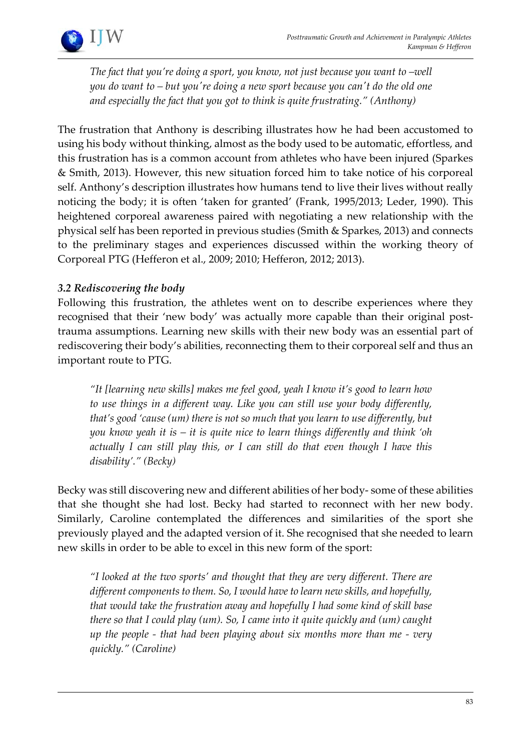

*The fact that you're doing a sport, you know, not just because you want to –well you do want to – but you're doing a new sport because you can't do the old one and especially the fact that you got to think is quite frustrating." (Anthony)*

The frustration that Anthony is describing illustrates how he had been accustomed to using his body without thinking, almost as the body used to be automatic, effortless, and this frustration has is a common account from athletes who have been injured (Sparkes & Smith, 2013). However, this new situation forced him to take notice of his corporeal self. Anthony's description illustrates how humans tend to live their lives without really noticing the body; it is often 'taken for granted' (Frank, 1995/2013; Leder, 1990). This heightened corporeal awareness paired with negotiating a new relationship with the physical self has been reported in previous studies (Smith & Sparkes, 2013) and connects to the preliminary stages and experiences discussed within the working theory of Corporeal PTG (Hefferon et al., 2009; 2010; Hefferon, 2012; 2013).

# *3.2 Rediscovering the body*

Following this frustration, the athletes went on to describe experiences where they recognised that their 'new body' was actually more capable than their original posttrauma assumptions. Learning new skills with their new body was an essential part of rediscovering their body's abilities, reconnecting them to their corporeal self and thus an important route to PTG.

*"It [learning new skills] makes me feel good, yeah I know it's good to learn how to use things in a different way. Like you can still use your body differently, that's good 'cause (um) there is not so much that you learn to use differently, but you know yeah it is – it is quite nice to learn things differently and think 'oh actually I can still play this, or I can still do that even though I have this disability'." (Becky)* 

Becky was still discovering new and different abilities of her body- some of these abilities that she thought she had lost. Becky had started to reconnect with her new body. Similarly, Caroline contemplated the differences and similarities of the sport she previously played and the adapted version of it. She recognised that she needed to learn new skills in order to be able to excel in this new form of the sport:

*"I looked at the two sports' and thought that they are very different. There are different components to them. So, I would have to learn new skills, and hopefully, that would take the frustration away and hopefully I had some kind of skill base there so that I could play (um). So, I came into it quite quickly and (um) caught up the people - that had been playing about six months more than me - very quickly." (Caroline)*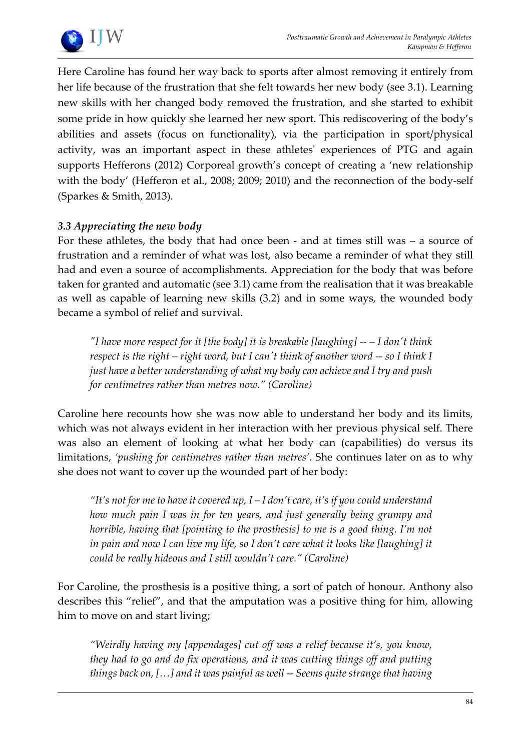

Here Caroline has found her way back to sports after almost removing it entirely from her life because of the frustration that she felt towards her new body (see 3.1). Learning new skills with her changed body removed the frustration, and she started to exhibit some pride in how quickly she learned her new sport. This rediscovering of the body's abilities and assets (focus on functionality), via the participation in sport/physical activity, was an important aspect in these athletes' experiences of PTG and again supports Hefferons (2012) Corporeal growth's concept of creating a 'new relationship with the body' (Hefferon et al., 2008; 2009; 2010) and the reconnection of the body-self (Sparkes & Smith, 2013).

# *3.3 Appreciating the new body*

For these athletes, the body that had once been - and at times still was – a source of frustration and a reminder of what was lost, also became a reminder of what they still had and even a source of accomplishments. Appreciation for the body that was before taken for granted and automatic (see 3.1) came from the realisation that it was breakable as well as capable of learning new skills (3.2) and in some ways, the wounded body became a symbol of relief and survival.

*"I have more respect for it [the body] it is breakable [laughing] -- – I don't think respect is the right – right word, but I can't think of another word -- so I think I just have a better understanding of what my body can achieve and I try and push for centimetres rather than metres now." (Caroline)*

Caroline here recounts how she was now able to understand her body and its limits, which was not always evident in her interaction with her previous physical self. There was also an element of looking at what her body can (capabilities) do versus its limitations, *'pushing for centimetres rather than metres'.* She continues later on as to why she does not want to cover up the wounded part of her body:

*"It's not for me to have it covered up, I – I don't care, it's if you could understand how much pain I was in for ten years, and just generally being grumpy and horrible, having that [pointing to the prosthesis] to me is a good thing. I'm not in pain and now I can live my life, so I don't care what it looks like [laughing] it could be really hideous and I still wouldn't care." (Caroline)*

For Caroline, the prosthesis is a positive thing, a sort of patch of honour. Anthony also describes this "relief", and that the amputation was a positive thing for him, allowing him to move on and start living;

*"Weirdly having my [appendages] cut off was a relief because it's, you know, they had to go and do fix operations, and it was cutting things off and putting things back on, […] and it was painful as well -- Seems quite strange that having*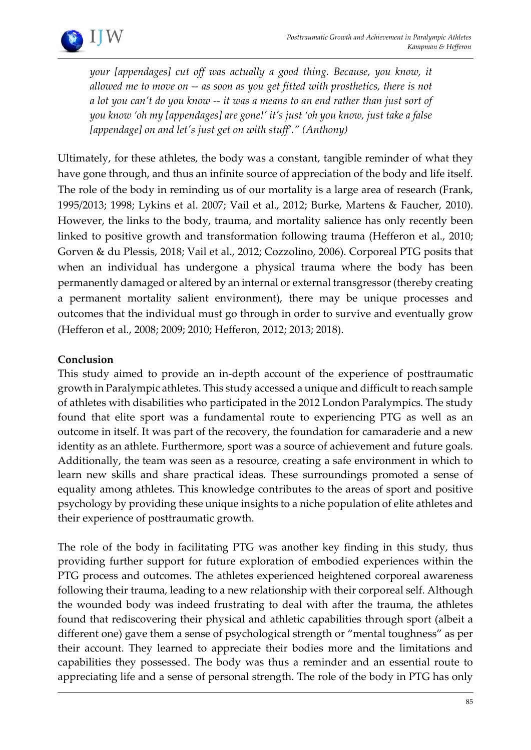

*your [appendages] cut off was actually a good thing. Because, you know, it allowed me to move on -- as soon as you get fitted with prosthetics, there is not a lot you can't do you know -- it was a means to an end rather than just sort of you know 'oh my [appendages] are gone!' it's just 'oh you know, just take a false [appendage] on and let's just get on with stuff'." (Anthony)* 

Ultimately, for these athletes, the body was a constant, tangible reminder of what they have gone through, and thus an infinite source of appreciation of the body and life itself. The role of the body in reminding us of our mortality is a large area of research (Frank, 1995/2013; 1998; Lykins et al. 2007; Vail et al., 2012; Burke, Martens & Faucher, 2010). However, the links to the body, trauma, and mortality salience has only recently been linked to positive growth and transformation following trauma (Hefferon et al., 2010; Gorven & du Plessis, 2018; Vail et al., 2012; Cozzolino, 2006). Corporeal PTG posits that when an individual has undergone a physical trauma where the body has been permanently damaged or altered by an internal or external transgressor (thereby creating a permanent mortality salient environment), there may be unique processes and outcomes that the individual must go through in order to survive and eventually grow (Hefferon et al., 2008; 2009; 2010; Hefferon, 2012; 2013; 2018).

# **Conclusion**

This study aimed to provide an in-depth account of the experience of posttraumatic growth in Paralympic athletes. This study accessed a unique and difficult to reach sample of athletes with disabilities who participated in the 2012 London Paralympics. The study found that elite sport was a fundamental route to experiencing PTG as well as an outcome in itself. It was part of the recovery, the foundation for camaraderie and a new identity as an athlete. Furthermore, sport was a source of achievement and future goals. Additionally, the team was seen as a resource, creating a safe environment in which to learn new skills and share practical ideas. These surroundings promoted a sense of equality among athletes. This knowledge contributes to the areas of sport and positive psychology by providing these unique insights to a niche population of elite athletes and their experience of posttraumatic growth.

The role of the body in facilitating PTG was another key finding in this study, thus providing further support for future exploration of embodied experiences within the PTG process and outcomes. The athletes experienced heightened corporeal awareness following their trauma, leading to a new relationship with their corporeal self. Although the wounded body was indeed frustrating to deal with after the trauma, the athletes found that rediscovering their physical and athletic capabilities through sport (albeit a different one) gave them a sense of psychological strength or "mental toughness" as per their account. They learned to appreciate their bodies more and the limitations and capabilities they possessed. The body was thus a reminder and an essential route to appreciating life and a sense of personal strength. The role of the body in PTG has only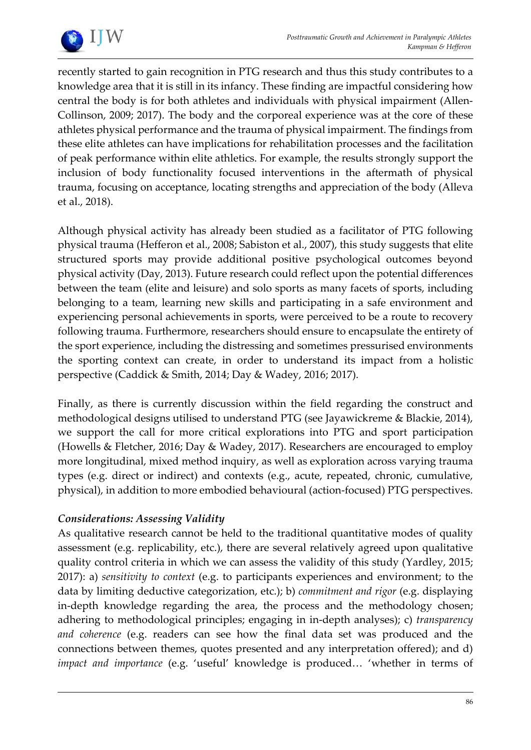

recently started to gain recognition in PTG research and thus this study contributes to a knowledge area that it is still in its infancy. These finding are impactful considering how central the body is for both athletes and individuals with physical impairment (Allen-Collinson, 2009; 2017). The body and the corporeal experience was at the core of these athletes physical performance and the trauma of physical impairment. The findings from these elite athletes can have implications for rehabilitation processes and the facilitation of peak performance within elite athletics. For example, the results strongly support the inclusion of body functionality focused interventions in the aftermath of physical trauma, focusing on acceptance, locating strengths and appreciation of the body (Alleva et al., 2018).

Although physical activity has already been studied as a facilitator of PTG following physical trauma (Hefferon et al., 2008; Sabiston et al., 2007), this study suggests that elite structured sports may provide additional positive psychological outcomes beyond physical activity (Day, 2013). Future research could reflect upon the potential differences between the team (elite and leisure) and solo sports as many facets of sports, including belonging to a team, learning new skills and participating in a safe environment and experiencing personal achievements in sports, were perceived to be a route to recovery following trauma. Furthermore, researchers should ensure to encapsulate the entirety of the sport experience, including the distressing and sometimes pressurised environments the sporting context can create, in order to understand its impact from a holistic perspective (Caddick & Smith, 2014; Day & Wadey, 2016; 2017).

Finally, as there is currently discussion within the field regarding the construct and methodological designs utilised to understand PTG (see Jayawickreme & Blackie, 2014), we support the call for more critical explorations into PTG and sport participation (Howells & Fletcher, 2016; Day & Wadey, 2017). Researchers are encouraged to employ more longitudinal, mixed method inquiry, as well as exploration across varying trauma types (e.g. direct or indirect) and contexts (e.g., acute, repeated, chronic, cumulative, physical), in addition to more embodied behavioural (action-focused) PTG perspectives.

# *Considerations: Assessing Validity*

As qualitative research cannot be held to the traditional quantitative modes of quality assessment (e.g. replicability, etc.), there are several relatively agreed upon qualitative quality control criteria in which we can assess the validity of this study (Yardley, 2015; 2017): a) *sensitivity to context* (e.g. to participants experiences and environment; to the data by limiting deductive categorization, etc.); b) *commitment and rigor* (e.g. displaying in-depth knowledge regarding the area, the process and the methodology chosen; adhering to methodological principles; engaging in in-depth analyses); c) *transparency and coherence* (e.g. readers can see how the final data set was produced and the connections between themes, quotes presented and any interpretation offered); and d) *impact and importance* (e.g. 'useful' knowledge is produced… 'whether in terms of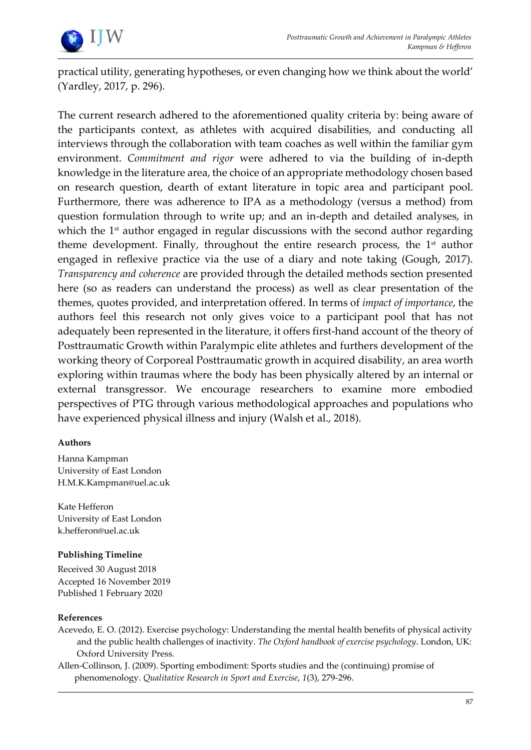

practical utility, generating hypotheses, or even changing how we think about the world' (Yardley, 2017, p. 296).

The current research adhered to the aforementioned quality criteria by: being aware of the participants context, as athletes with acquired disabilities, and conducting all interviews through the collaboration with team coaches as well within the familiar gym environment. *Commitment and rigor* were adhered to via the building of in-depth knowledge in the literature area, the choice of an appropriate methodology chosen based on research question, dearth of extant literature in topic area and participant pool. Furthermore, there was adherence to IPA as a methodology (versus a method) from question formulation through to write up; and an in-depth and detailed analyses, in which the 1<sup>st</sup> author engaged in regular discussions with the second author regarding theme development. Finally, throughout the entire research process, the  $1<sup>st</sup>$  author engaged in reflexive practice via the use of a diary and note taking (Gough, 2017). *Transparency and coherence* are provided through the detailed methods section presented here (so as readers can understand the process) as well as clear presentation of the themes, quotes provided, and interpretation offered. In terms of *impact of importance*, the authors feel this research not only gives voice to a participant pool that has not adequately been represented in the literature, it offers first-hand account of the theory of Posttraumatic Growth within Paralympic elite athletes and furthers development of the working theory of Corporeal Posttraumatic growth in acquired disability, an area worth exploring within traumas where the body has been physically altered by an internal or external transgressor. We encourage researchers to examine more embodied perspectives of PTG through various methodological approaches and populations who have experienced physical illness and injury (Walsh et al., 2018).

#### **Authors**

Hanna Kampman University of East London H.M.K.Kampman@uel.ac.uk

Kate Hefferon University of East London k.hefferon@uel.ac.uk

#### **Publishing Timeline**

Received 30 August 2018 Accepted 16 November 2019 Published 1 February 2020

#### **References**

- Acevedo, E. O. (2012). Exercise psychology: Understanding the mental health benefits of physical activity and the public health challenges of inactivity. *The Oxford handbook of exercise psychology*. London, UK: Oxford University Press.
- Allen-Collinson, J. (2009). Sporting embodiment: Sports studies and the (continuing) promise of phenomenology. *Qualitative Research in Sport and Exercise*, *1*(3), 279-296.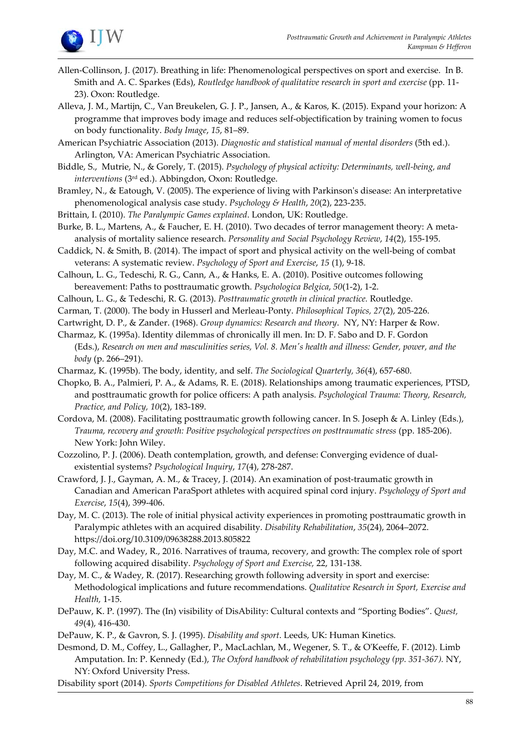

- Allen-Collinson, J. (2017). Breathing in life: Phenomenological perspectives on sport and exercise. In B. Smith and A. C. Sparkes (Eds), *Routledge handbook of qualitative research in sport and exercise* (pp. 11- 23). Oxon: Routledge.
- Alleva, J. M., Martijn, C., Van Breukelen, G. J. P., Jansen, A., & Karos, K. (2015). Expand your horizon: A programme that improves body image and reduces self-objectification by training women to focus on body functionality. *Body Image*, *15*, 81–89.

American Psychiatric Association (2013). *Diagnostic and statistical manual of mental disorders* (5th ed.). Arlington, VA: American Psychiatric Association.

- Biddle, S., Mutrie, N., & Gorely, T. (2015). *Psychology of physical activity: Determinants, well-being, and interventions* (3rd ed.). Abbingdon, Oxon: Routledge.
- Bramley, N., & Eatough, V. (2005). The experience of living with Parkinson's disease: An interpretative phenomenological analysis case study. *Psychology & Health*, *20*(2), 223-235.
- Brittain, I. (2010). *The Paralympic Games explained*. London, UK: Routledge.
- Burke, B. L., Martens, A., & Faucher, E. H. (2010). Two decades of terror management theory: A metaanalysis of mortality salience research. *Personality and Social Psychology Review*, *14*(2), 155-195.
- Caddick, N. & Smith, B. (2014). The impact of sport and physical activity on the well-being of combat veterans: A systematic review. *Psychology of Sport and Exercise*, *15* (1), 9-18.
- Calhoun, L. G., Tedeschi, R. G., Cann, A., & Hanks, E. A. (2010). Positive outcomes following bereavement: Paths to posttraumatic growth. *Psychologica Belgica*, *50*(1-2), 1-2.
- Calhoun, L. G., & Tedeschi, R. G. (2013). *Posttraumatic growth in clinical practice.* Routledge.
- Carman, T. (2000). The body in Husserl and Merleau-Ponty. *Philosophical Topics, 27*(2), 205-226.
- Cartwright, D. P., & Zander. (1968). *Group dynamics: Research and theory*. NY, NY: Harper & Row.
- Charmaz, K. (1995a). Identity dilemmas of chronically ill men. In: D. F. Sabo and D. F. Gordon (Eds.), *Research on men and masculinities series, Vol. 8. Men's health and illness: Gender, power, and the body* (p. 266–291).
- Charmaz, K. (1995b). The body, identity, and self. *The Sociological Quarterly, 36*(4), 657-680.
- Chopko, B. A., Palmieri, P. A., & Adams, R. E. (2018). Relationships among traumatic experiences, PTSD, and posttraumatic growth for police officers: A path analysis. *Psychological Trauma: Theory, Research, Practice, and Policy, 10*(2), 183-189.
- Cordova, M. (2008). Facilitating posttraumatic growth following cancer. In S. Joseph & A. Linley (Eds.), *Trauma, recovery and growth: Positive psychological perspectives on posttraumatic stress* (pp. 185-206). New York: John Wiley.
- Cozzolino, P. J. (2006). Death contemplation, growth, and defense: Converging evidence of dualexistential systems? *Psychological Inquiry*, *17*(4), 278-287.
- Crawford, J. J., Gayman, A. M., & Tracey, J. (2014). An examination of post-traumatic growth in Canadian and American ParaSport athletes with acquired spinal cord injury. *Psychology of Sport and Exercise*, *15*(4), 399-406.
- Day, M. C. (2013). The role of initial physical activity experiences in promoting posttraumatic growth in Paralympic athletes with an acquired disability. *Disability Rehabilitation*, *35*(24), 2064–2072. https://doi.org/10.3109/09638288.2013.805822
- Day, M.C. and Wadey, R., 2016. Narratives of trauma, recovery, and growth: The complex role of sport following acquired disability. *Psychology of Sport and Exercise,* 22, 131-138.
- Day, M. C., & Wadey, R. (2017). Researching growth following adversity in sport and exercise: Methodological implications and future recommendations. *Qualitative Research in Sport, Exercise and Health,* 1-15.
- DePauw, K. P. (1997). The (In) visibility of DisAbility: Cultural contexts and "Sporting Bodies". *Quest, 49*(4), 416-430.

DePauw, K. P., & Gavron, S. J. (1995). *Disability and sport*. Leeds, UK: Human Kinetics.

- Desmond, D. M., Coffey, L., Gallagher, P., MacLachlan, M., Wegener, S. T., & O'Keeffe, F. (2012). Limb Amputation. In: P. Kennedy (Ed.), *The Oxford handbook of rehabilitation psychology (pp. 351-367).* NY, NY: Oxford University Press.
- Disability sport (2014). *Sports Competitions for Disabled Athletes*. Retrieved April 24, 2019, from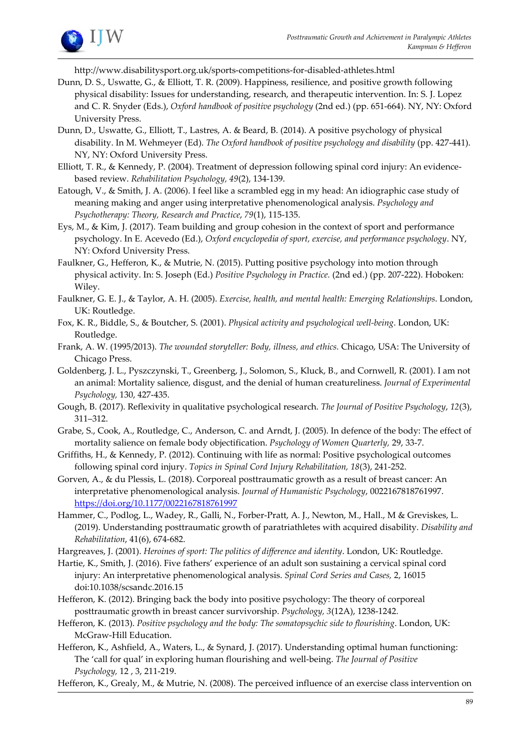

http://www.disabilitysport.org.uk/sports-competitions-for-disabled-athletes.html

- Dunn, D. S., Uswatte, G., & Elliott, T. R. (2009). Happiness, resilience, and positive growth following physical disability: Issues for understanding, research, and therapeutic intervention. In: S. J. Lopez and C. R. Snyder (Eds.), *Oxford handbook of positive psychology* (2nd ed.) (pp. 651-664). NY, NY: Oxford University Press.
- Dunn, D., Uswatte, G., Elliott, T., Lastres, A. & Beard, B. (2014). A positive psychology of physical disability. In M. Wehmeyer (Ed). *The Oxford handbook of positive psychology and disability* (pp. 427-441). NY, NY: Oxford University Press.
- Elliott, T. R., & Kennedy, P. (2004). Treatment of depression following spinal cord injury: An evidencebased review. *Rehabilitation Psychology, 49*(2), 134-139.
- Eatough, V., & Smith, J. A. (2006). I feel like a scrambled egg in my head: An idiographic case study of meaning making and anger using interpretative phenomenological analysis. *Psychology and Psychotherapy: Theory, Research and Practice*, *79*(1), 115-135.
- Eys, M., & Kim, J. (2017). Team building and group cohesion in the context of sport and performance psychology. In E. Acevedo (Ed.), *Oxford encyclopedia of sport, exercise, and performance psychology*. NY, NY: Oxford University Press.
- Faulkner, G., Hefferon, K., & Mutrie, N. (2015). Putting positive psychology into motion through physical activity. In: S. Joseph (Ed.) *Positive Psychology in Practice.* (2nd ed.) (pp. 207-222). Hoboken: Wiley.
- Faulkner, G. E. J., & Taylor, A. H. (2005). *Exercise, health, and mental health: Emerging Relationships*. London, UK: Routledge.
- Fox, K. R., Biddle, S., & Boutcher, S. (2001). *Physical activity and psychological well-being*. London, UK: Routledge.
- Frank, A. W. (1995/2013). *The wounded storyteller: Body, illness, and ethics.* Chicago, USA: The University of Chicago Press.
- Goldenberg, J. L., Pyszczynski, T., Greenberg, J., Solomon, S., Kluck, B., and Cornwell, R. (2001). I am not an animal: Mortality salience, disgust, and the denial of human creatureliness. *Journal of Experimental Psychology,* 130, 427-435.
- Gough, B. (2017). Reflexivity in qualitative psychological research. *The Journal of Positive Psychology*, *12*(3), 311–312.
- Grabe, S., Cook, A., Routledge, C., Anderson, C. and Arndt, J. (2005). In defence of the body: The effect of mortality salience on female body objectification. *Psychology of Women Quarterly,* 29, 33-7.
- Griffiths, H., & Kennedy, P. (2012). Continuing with life as normal: Positive psychological outcomes following spinal cord injury. *Topics in Spinal Cord Injury Rehabilitation, 18*(3), 241-252.
- Gorven, A., & du Plessis, L. (2018). Corporeal posttraumatic growth as a result of breast cancer: An interpretative phenomenological analysis. *Journal of Humanistic Psychology*, 0022167818761997. https://doi.org/10.1177/0022167818761997
- Hammer, C., Podlog, L., Wadey, R., Galli, N., Forber-Pratt, A. J., Newton, M., Hall., M & Greviskes, L. (2019). Understanding posttraumatic growth of paratriathletes with acquired disability. *Disability and Rehabilitation*, 41(6), 674-682.
- Hargreaves, J. (2001). *Heroines of sport: The politics of difference and identity*. London, UK: Routledge.
- Hartie, K., Smith, J. (2016). Five fathers' experience of an adult son sustaining a cervical spinal cord injury: An interpretative phenomenological analysis. *Spinal Cord Series and Cases,* 2, 16015 doi:10.1038/scsandc.2016.15
- Hefferon, K. (2012). Bringing back the body into positive psychology: The theory of corporeal posttraumatic growth in breast cancer survivorship. *Psychology, 3*(12A), 1238-1242.
- Hefferon, K. (2013). *Positive psychology and the body: The somatopsychic side to flourishing*. London, UK: McGraw-Hill Education.
- Hefferon, K., Ashfield, A., Waters, L., & Synard, J. (2017). Understanding optimal human functioning: The 'call for qual' in exploring human flourishing and well-being. *The Journal of Positive Psychology,* 12 , 3, 211-219.
- Hefferon, K., Grealy, M., & Mutrie, N. (2008). The perceived influence of an exercise class intervention on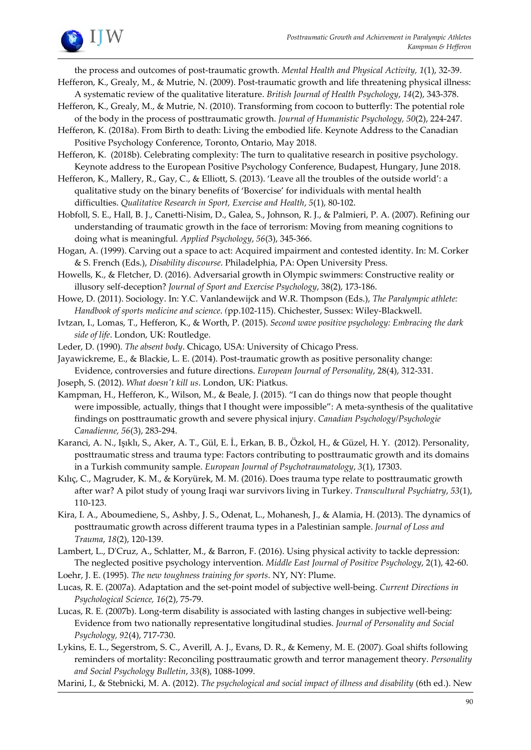

the process and outcomes of post-traumatic growth. *Mental Health and Physical Activity, 1*(1), 32-39.

- Hefferon, K., Grealy, M., & Mutrie, N. (2009). Post-traumatic growth and life threatening physical illness: A systematic review of the qualitative literature. *British Journal of Health Psychology*, *14*(2), 343-378.
- Hefferon, K., Grealy, M., & Mutrie, N. (2010). Transforming from cocoon to butterfly: The potential role of the body in the process of posttraumatic growth. *Journal of Humanistic Psychology, 50*(2), 224-247.
- Hefferon, K. (2018a). From Birth to death: Living the embodied life. Keynote Address to the Canadian Positive Psychology Conference, Toronto, Ontario, May 2018.
- Hefferon, K. (2018b). Celebrating complexity: The turn to qualitative research in positive psychology. Keynote address to the European Positive Psychology Conference, Budapest, Hungary, June 2018.
- Hefferon, K., Mallery, R., Gay, C., & Elliott, S. (2013). 'Leave all the troubles of the outside world': a qualitative study on the binary benefits of 'Boxercise' for individuals with mental health difficulties. *Qualitative Research in Sport, Exercise and Health*, *5*(1), 80-102.
- Hobfoll, S. E., Hall, B. J., Canetti-Nisim, D., Galea, S., Johnson, R. J., & Palmieri, P. A. (2007). Refining our understanding of traumatic growth in the face of terrorism: Moving from meaning cognitions to doing what is meaningful. *Applied Psychology*, *56*(3), 345-366.
- Hogan, A. (1999). Carving out a space to act: Acquired impairment and contested identity. In: M. Corker & S. French (Eds.), *Disability discourse*. Philadelphia, PA: Open University Press.
- Howells, K., & Fletcher, D. (2016). Adversarial growth in Olympic swimmers: Constructive reality or illusory self-deception? *Journal of Sport and Exercise Psychology*, 38(2), 173-186.
- Howe, D. (2011). Sociology. In: Y.C. Vanlandewijck and W.R. Thompson (Eds.), *The Paralympic athlete: Handbook of sports medicine and science*. *(*pp.102-115). Chichester, Sussex: Wiley-Blackwell.
- Ivtzan, I., Lomas, T., Hefferon, K., & Worth, P. (2015). *Second wave positive psychology: Embracing the dark side of life*. London, UK: Routledge.
- Leder, D. (1990). *The absent body*. Chicago, USA: University of Chicago Press.
- Jayawickreme, E., & Blackie, L. E. (2014). Post-traumatic growth as positive personality change: Evidence, controversies and future directions. *European Journal of Personality*, 28(4), 312-331.
- Joseph, S. (2012). *What doesn't kill us*. London, UK: Piatkus.
- Kampman, H., Hefferon, K., Wilson, M., & Beale, J. (2015). "I can do things now that people thought were impossible, actually, things that I thought were impossible": A meta-synthesis of the qualitative findings on posttraumatic growth and severe physical injury. *Canadian Psychology/Psychologie Canadienne, 56*(3), 283-294.
- Karanci, A. N., Işıklı, S., Aker, A. T., Gül, E. İ., Erkan, B. B., Özkol, H., & Güzel, H. Y. (2012). Personality, posttraumatic stress and trauma type: Factors contributing to posttraumatic growth and its domains in a Turkish community sample. *European Journal of Psychotraumatology*, *3*(1), 17303.
- Kılıç, C., Magruder, K. M., & Koryürek, M. M. (2016). Does trauma type relate to posttraumatic growth after war? A pilot study of young Iraqi war survivors living in Turkey. *Transcultural Psychiatry*, *53*(1), 110-123.
- Kira, I. A., Aboumediene, S., Ashby, J. S., Odenat, L., Mohanesh, J., & Alamia, H. (2013). The dynamics of posttraumatic growth across different trauma types in a Palestinian sample. *Journal of Loss and Trauma*, *18*(2), 120-139.

Lambert, L., D'Cruz, A., Schlatter, M., & Barron, F. (2016). Using physical activity to tackle depression: The neglected positive psychology intervention. *Middle East Journal of Positive Psychology*, 2(1), 42-60.

Loehr, J. E. (1995). *The new toughness training for sports*. NY, NY: Plume.

- Lucas, R. E. (2007a). Adaptation and the set-point model of subjective well-being. *Current Directions in Psychological Science, 16*(2), 75-79.
- Lucas, R. E. (2007b). Long-term disability is associated with lasting changes in subjective well-being: Evidence from two nationally representative longitudinal studies. *Journal of Personality and Social Psychology, 92*(4), 717-730.

Lykins, E. L., Segerstrom, S. C., Averill, A. J., Evans, D. R., & Kemeny, M. E. (2007). Goal shifts following reminders of mortality: Reconciling posttraumatic growth and terror management theory. *Personality and Social Psychology Bulletin*, *33*(8), 1088-1099.

Marini, I., & Stebnicki, M. A. (2012). *The psychological and social impact of illness and disability* (6th ed.). New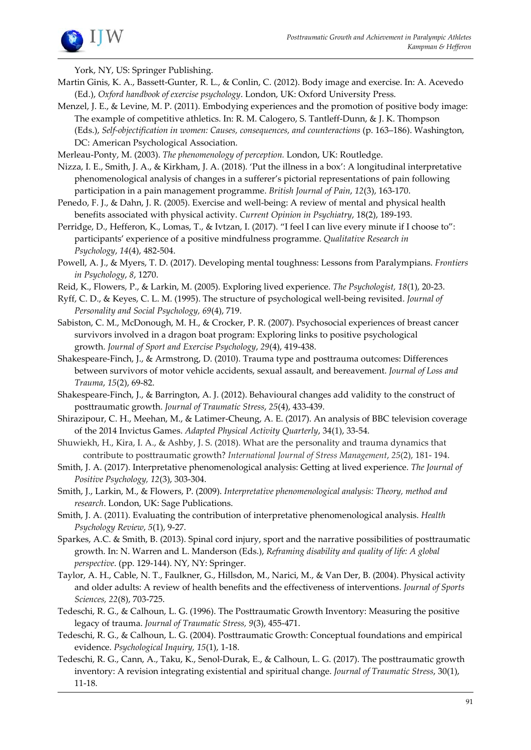

York, NY, US: Springer Publishing.

- Martin Ginis, K. A., Bassett-Gunter, R. L., & Conlin, C. (2012). Body image and exercise. In: A. Acevedo (Ed.), *Oxford handbook of exercise psychology*. London, UK: Oxford University Press.
- Menzel, J. E., & Levine, M. P. (2011). Embodying experiences and the promotion of positive body image: The example of competitive athletics. In: R. M. Calogero, S. Tantleff-Dunn, & J. K. Thompson (Eds.), *Self-objectification in women: Causes, consequences, and counteractions* (p. 163–186). Washington, DC: American Psychological Association.
- Merleau-Ponty, M. (2003). *The phenomenology of perception.* London, UK: Routledge.
- Nizza, I. E., Smith, J. A., & Kirkham, J. A. (2018). 'Put the illness in a box': A longitudinal interpretative phenomenological analysis of changes in a sufferer's pictorial representations of pain following participation in a pain management programme. *British Journal of Pain*, *12*(3), 163-170.
- Penedo, F. J., & Dahn, J. R. (2005). Exercise and well-being: A review of mental and physical health benefits associated with physical activity. *Current Opinion in Psychiatry*, 18(2), 189-193.
- Perridge, D., Hefferon, K., Lomas, T., & Ivtzan, I. (2017). "I feel I can live every minute if I choose to": participants' experience of a positive mindfulness programme. *Qualitative Research in Psychology*, *14*(4), 482-504.
- Powell, A. J., & Myers, T. D. (2017). Developing mental toughness: Lessons from Paralympians. *Frontiers in Psychology*, *8*, 1270.
- Reid, K., Flowers, P., & Larkin, M. (2005). Exploring lived experience. *The Psychologist, 18*(1), 20-23.
- Ryff, C. D., & Keyes, C. L. M. (1995). The structure of psychological well-being revisited. *Journal of Personality and Social Psychology, 69*(4), 719.
- Sabiston, C. M., McDonough, M. H., & Crocker, P. R. (2007). Psychosocial experiences of breast cancer survivors involved in a dragon boat program: Exploring links to positive psychological growth. *Journal of Sport and Exercise Psychology*, *29*(4), 419-438.
- Shakespeare-Finch, J., & Armstrong, D. (2010). Trauma type and posttrauma outcomes: Differences between survivors of motor vehicle accidents, sexual assault, and bereavement. *Journal of Loss and Trauma*, *15*(2), 69-82.
- Shakespeare-Finch, J., & Barrington, A. J. (2012). Behavioural changes add validity to the construct of posttraumatic growth. *Journal of Traumatic Stress*, *25*(4), 433-439.
- Shirazipour, C. H., Meehan, M., & Latimer-Cheung, A. E. (2017). An analysis of BBC television coverage of the 2014 Invictus Games. *Adapted Physical Activity Quarterly*, 34(1), 33-54.
- Shuwiekh, H., Kira, I. A., & Ashby, J. S. (2018). What are the personality and trauma dynamics that contribute to posttraumatic growth? *International Journal of Stress Management*, *25*(2), 181- 194.
- Smith, J. A. (2017). Interpretative phenomenological analysis: Getting at lived experience. *The Journal of Positive Psychology, 12*(3), 303-304.
- Smith, J., Larkin, M., & Flowers, P. (2009). *Interpretative phenomenological analysis: Theory, method and research*. London, UK: Sage Publications.
- Smith, J. A. (2011). Evaluating the contribution of interpretative phenomenological analysis. *Health Psychology Review*, *5*(1), 9-27.
- Sparkes, A.C. & Smith, B. (2013). Spinal cord injury, sport and the narrative possibilities of posttraumatic growth. In: N. Warren and L. Manderson (Eds.), *Reframing disability and quality of life: A global perspective*. (pp. 129-144). NY, NY: Springer.
- Taylor, A. H., Cable, N. T., Faulkner, G., Hillsdon, M., Narici, M., & Van Der, B. (2004). Physical activity and older adults: A review of health benefits and the effectiveness of interventions. *Journal of Sports Sciences, 22*(8), 703-725.
- Tedeschi, R. G., & Calhoun, L. G. (1996). The Posttraumatic Growth Inventory: Measuring the positive legacy of trauma. *Journal of Traumatic Stress, 9*(3), 455-471.
- Tedeschi, R. G., & Calhoun, L. G. (2004). Posttraumatic Growth: Conceptual foundations and empirical evidence. *Psychological Inquiry, 15*(1), 1-18.
- Tedeschi, R. G., Cann, A., Taku, K., Senol-Durak, E., & Calhoun, L. G. (2017). The posttraumatic growth inventory: A revision integrating existential and spiritual change. *Journal of Traumatic Stress*, 30(1), 11-18.